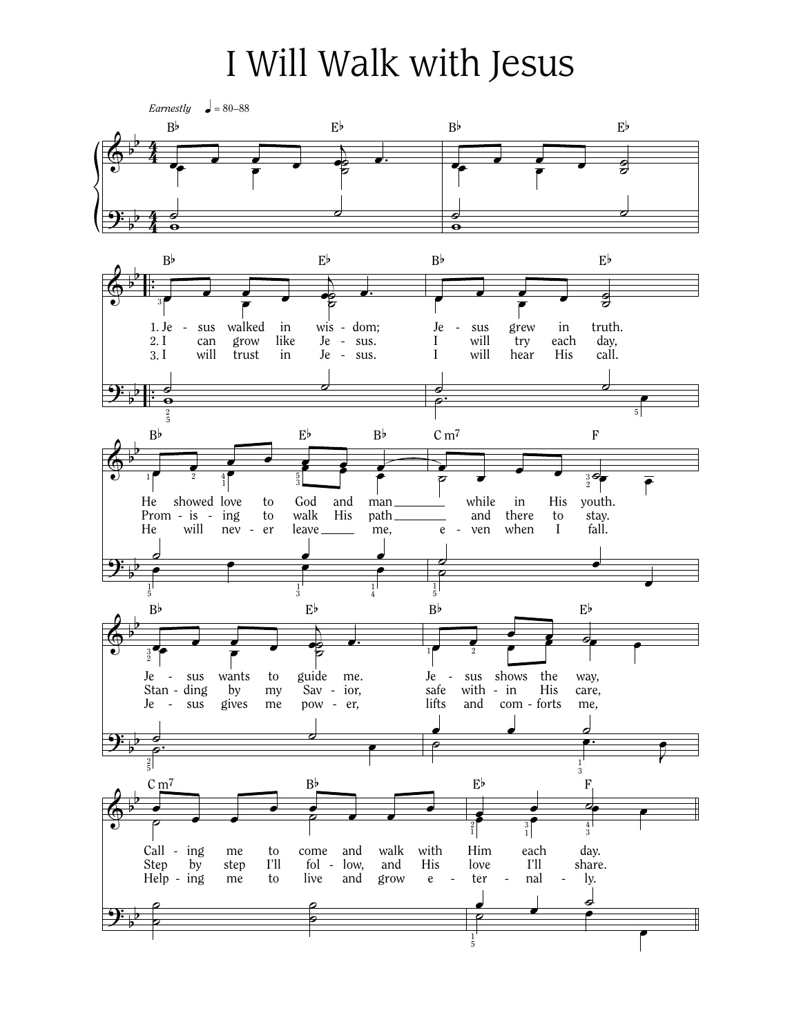## I Will Walk with Jesus